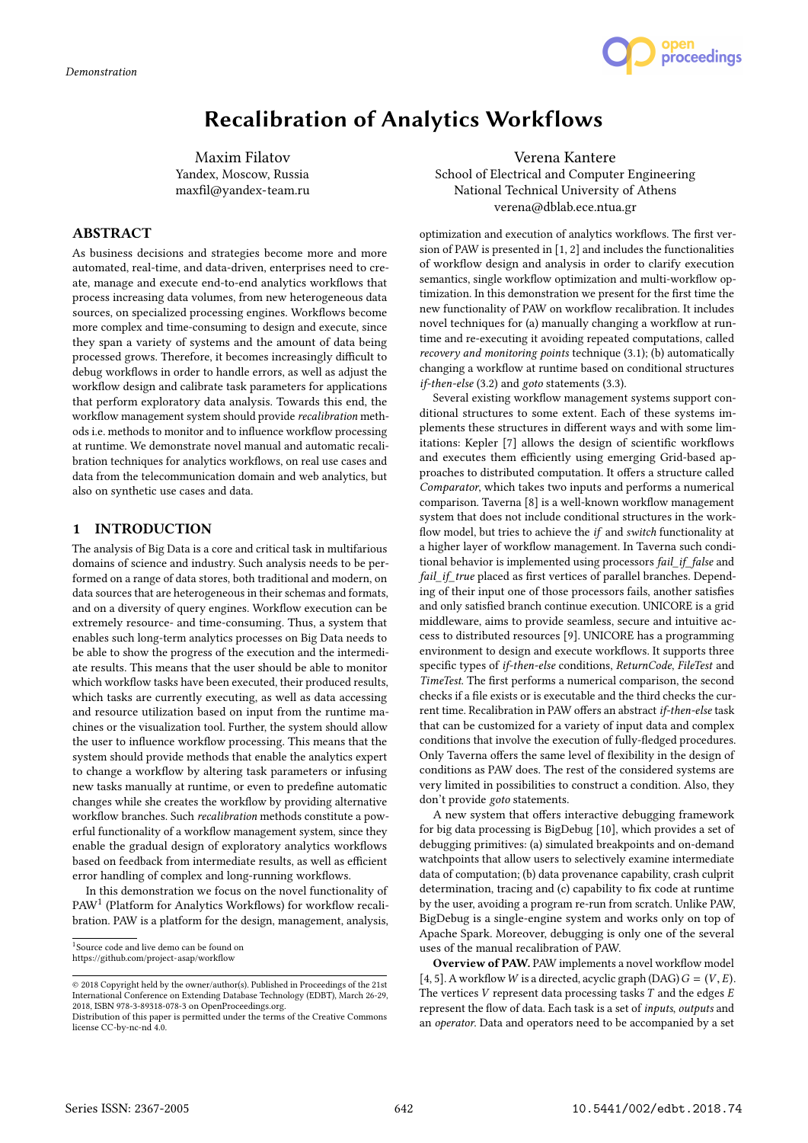

# Recalibration of Analytics Workflows

Maxim Filatov Yandex, Moscow, Russia maxfil@yandex-team.ru

# **ABSTRACT**

As business decisions and strategies become more and more automated, real-time, and data-driven, enterprises need to create, manage and execute end-to-end analytics workflows that process increasing data volumes, from new heterogeneous data sources, on specialized processing engines. Workflows become more complex and time-consuming to design and execute, since they span a variety of systems and the amount of data being processed grows. Therefore, it becomes increasingly difficult to debug workflows in order to handle errors, as well as adjust the workflow design and calibrate task parameters for applications that perform exploratory data analysis. Towards this end, the workflow management system should provide recalibration methods i.e. methods to monitor and to influence workflow processing at runtime. We demonstrate novel manual and automatic recalibration techniques for analytics workflows, on real use cases and data from the telecommunication domain and web analytics, but also on synthetic use cases and data.

# 1 INTRODUCTION

The analysis of Big Data is a core and critical task in multifarious domains of science and industry. Such analysis needs to be performed on a range of data stores, both traditional and modern, on data sources that are heterogeneous in their schemas and formats, and on a diversity of query engines. Workflow execution can be extremely resource- and time-consuming. Thus, a system that enables such long-term analytics processes on Big Data needs to be able to show the progress of the execution and the intermediate results. This means that the user should be able to monitor which workflow tasks have been executed, their produced results, which tasks are currently executing, as well as data accessing and resource utilization based on input from the runtime machines or the visualization tool. Further, the system should allow the user to influence workflow processing. This means that the system should provide methods that enable the analytics expert to change a workflow by altering task parameters or infusing new tasks manually at runtime, or even to predefine automatic changes while she creates the workflow by providing alternative workflow branches. Such recalibration methods constitute a powerful functionality of a workflow management system, since they enable the gradual design of exploratory analytics workflows based on feedback from intermediate results, as well as efficient error handling of complex and long-running workflows.

In this demonstration we focus on the novel functionality of PAW<sup>1</sup> (Platform for Analytics Workflows) for workflow recalibration. PAW is a platform for the design, management, analysis,

Verena Kantere School of Electrical and Computer Engineering National Technical University of Athens verena@dblab.ece.ntua.gr

optimization and execution of analytics workflows. The first version of PAW is presented in [1, 2] and includes the functionalities of workflow design and analysis in order to clarify execution semantics, single workflow optimization and multi-workflow optimization. In this demonstration we present for the first time the new functionality of PAW on workflow recalibration. It includes novel techniques for (a) manually changing a workflow at runtime and re-executing it avoiding repeated computations, called recovery and monitoring points technique (3.1); (b) automatically changing a workflow at runtime based on conditional structures if-then-else (3.2) and goto statements (3.3).

Several existing workflow management systems support conditional structures to some extent. Each of these systems implements these structures in different ways and with some limitations: Kepler [7] allows the design of scientific workflows and executes them efficiently using emerging Grid-based approaches to distributed computation. It offers a structure called Comparator, which takes two inputs and performs a numerical comparison. Taverna [8] is a well-known workflow management system that does not include conditional structures in the workflow model, but tries to achieve the *if* and switch functionality at a higher layer of workflow management. In Taverna such conditional behavior is implemented using processors fail\_if\_false and fail\_if\_true placed as first vertices of parallel branches. Depending of their input one of those processors fails, another satisfies and only satisfied branch continue execution. UNICORE is a grid middleware, aims to provide seamless, secure and intuitive access to distributed resources [9]. UNICORE has a programming environment to design and execute workflows. It supports three specific types of if-then-else conditions, ReturnCode, FileTest and TimeTest. The first performs a numerical comparison, the second checks if a file exists or is executable and the third checks the current time. Recalibration in PAW offers an abstract if-then-else task that can be customized for a variety of input data and complex conditions that involve the execution of fully-fledged procedures. Only Taverna offers the same level of flexibility in the design of conditions as PAW does. The rest of the considered systems are very limited in possibilities to construct a condition. Also, they don't provide goto statements.

A new system that offers interactive debugging framework for big data processing is BigDebug [10], which provides a set of debugging primitives: (a) simulated breakpoints and on-demand watchpoints that allow users to selectively examine intermediate data of computation; (b) data provenance capability, crash culprit determination, tracing and (c) capability to fix code at runtime by the user, avoiding a program re-run from scratch. Unlike PAW, BigDebug is a single-engine system and works only on top of Apache Spark. Moreover, debugging is only one of the several uses of the manual recalibration of PAW.

Overview of PAW. PAW implements a novel workflow model [4, 5]. A workflow W is a directed, acyclic graph (DAG)  $G = (V, E)$ . The vertices  $V$  represent data processing tasks  $T$  and the edges  $E$ represent the flow of data. Each task is a set of inputs, outputs and an operator. Data and operators need to be accompanied by a set

<sup>1</sup> Source code and live demo can be found on https://github.com/project-asap/workflow

<sup>©</sup> 2018 Copyright held by the owner/author(s). Published in Proceedings of the 21st International Conference on Extending Database Technology (EDBT), March 26-29, 2018, ISBN 978-3-89318-078-3 on OpenProceedings.org.

Distribution of this paper is permitted under the terms of the Creative Commons license CC-by-nc-nd 4.0.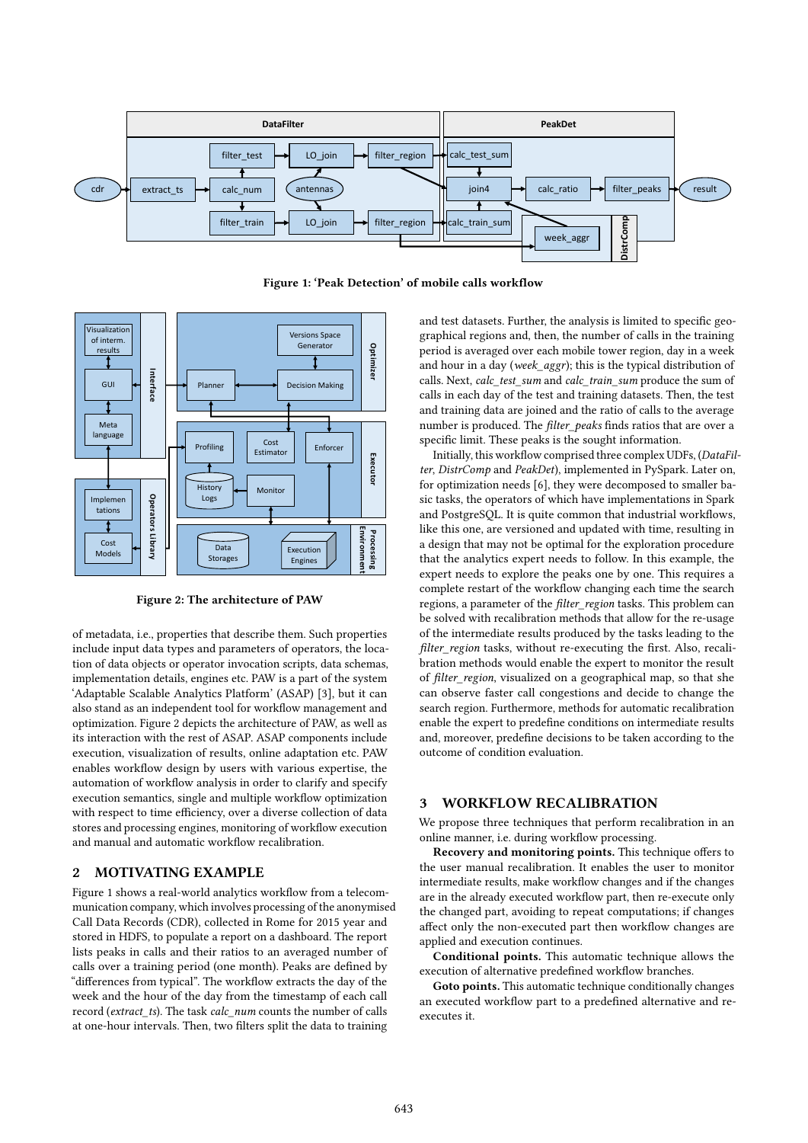

Figure 1: 'Peak Detection' of mobile calls workflow



Figure 2: The architecture of PAW

of metadata, i.e., properties that describe them. Such properties include input data types and parameters of operators, the location of data objects or operator invocation scripts, data schemas, implementation details, engines etc. PAW is a part of the system 'Adaptable Scalable Analytics Platform' (ASAP) [3], but it can also stand as an independent tool for workflow management and optimization. Figure 2 depicts the architecture of PAW, as well as its interaction with the rest of ASAP. ASAP components include execution, visualization of results, online adaptation etc. PAW enables workflow design by users with various expertise, the automation of workflow analysis in order to clarify and specify execution semantics, single and multiple workflow optimization with respect to time efficiency, over a diverse collection of data stores and processing engines, monitoring of workflow execution and manual and automatic workflow recalibration.

# 2 MOTIVATING EXAMPLE

Figure 1 shows a real-world analytics workflow from a telecommunication company, which involves processing of the anonymised Call Data Records (CDR), collected in Rome for 2015 year and stored in HDFS, to populate a report on a dashboard. The report lists peaks in calls and their ratios to an averaged number of calls over a training period (one month). Peaks are defined by "differences from typical". The workflow extracts the day of the week and the hour of the day from the timestamp of each call record (extract ts). The task calc\_num counts the number of calls at one-hour intervals. Then, two filters split the data to training

and test datasets. Further, the analysis is limited to specific geographical regions and, then, the number of calls in the training period is averaged over each mobile tower region, day in a week and hour in a day (week aggr); this is the typical distribution of calls. Next, calc\_test\_sum and calc\_train\_sum produce the sum of calls in each day of the test and training datasets. Then, the test and training data are joined and the ratio of calls to the average number is produced. The *filter peaks* finds ratios that are over a specific limit. These peaks is the sought information.

Initially, this workflow comprised three complex UDFs, (DataFilter, DistrComp and PeakDet), implemented in PySpark. Later on, for optimization needs [6], they were decomposed to smaller basic tasks, the operators of which have implementations in Spark and PostgreSQL. It is quite common that industrial workflows, like this one, are versioned and updated with time, resulting in a design that may not be optimal for the exploration procedure that the analytics expert needs to follow. In this example, the expert needs to explore the peaks one by one. This requires a complete restart of the workflow changing each time the search regions, a parameter of the filter\_region tasks. This problem can be solved with recalibration methods that allow for the re-usage of the intermediate results produced by the tasks leading to the  $filter$  region tasks, without re-executing the first. Also, recalibration methods would enable the expert to monitor the result of *filter region*, visualized on a geographical map, so that she can observe faster call congestions and decide to change the search region. Furthermore, methods for automatic recalibration enable the expert to predefine conditions on intermediate results and, moreover, predefine decisions to be taken according to the outcome of condition evaluation.

#### 3 WORKFLOW RECALIBRATION

We propose three techniques that perform recalibration in an online manner, i.e. during workflow processing.

Recovery and monitoring points. This technique offers to the user manual recalibration. It enables the user to monitor intermediate results, make workflow changes and if the changes are in the already executed workflow part, then re-execute only the changed part, avoiding to repeat computations; if changes affect only the non-executed part then workflow changes are applied and execution continues.

Conditional points. This automatic technique allows the execution of alternative predefined workflow branches.

Goto points. This automatic technique conditionally changes an executed workflow part to a predefined alternative and reexecutes it.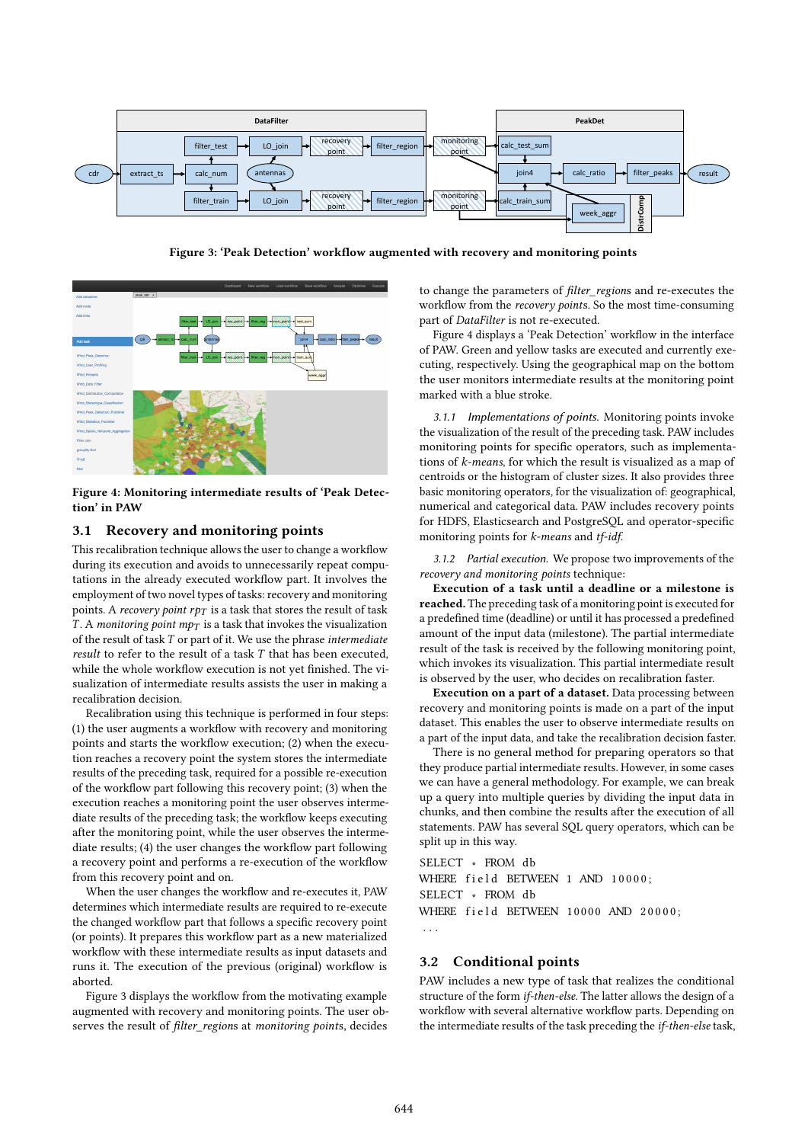

Figure 3: 'Peak Detection' workflow augmented with recovery and monitoring points



Figure 4: Monitoring intermediate results of 'Peak Detection' in PAW

# 3.1 Recovery and monitoring points

This recalibration technique allows the user to change a workflow during its execution and avoids to unnecessarily repeat computations in the already executed workflow part. It involves the employment of two novel types of tasks: recovery and monitoring points. A recovery point  $r p_T$  is a task that stores the result of task T. A monitoring point  $mp<sub>T</sub>$  is a task that invokes the visualization of the result of task  $T$  or part of it. We use the phrase intermediate result to refer to the result of a task T that has been executed, while the whole workflow execution is not yet finished. The visualization of intermediate results assists the user in making a recalibration decision.

Recalibration using this technique is performed in four steps: (1) the user augments a workflow with recovery and monitoring points and starts the workflow execution; (2) when the execution reaches a recovery point the system stores the intermediate results of the preceding task, required for a possible re-execution of the workflow part following this recovery point; (3) when the execution reaches a monitoring point the user observes intermediate results of the preceding task; the workflow keeps executing after the monitoring point, while the user observes the intermediate results; (4) the user changes the workflow part following a recovery point and performs a re-execution of the workflow from this recovery point and on.

When the user changes the workflow and re-executes it, PAW determines which intermediate results are required to re-execute the changed workflow part that follows a specific recovery point (or points). It prepares this workflow part as a new materialized workflow with these intermediate results as input datasets and runs it. The execution of the previous (original) workflow is aborted.

Figure 3 displays the workflow from the motivating example augmented with recovery and monitoring points. The user observes the result of filter\_regions at monitoring points, decides

to change the parameters of filter\_regions and re-executes the workflow from the recovery points. So the most time-consuming part of DataFilter is not re-executed.

Figure 4 displays a 'Peak Detection' workflow in the interface of PAW. Green and yellow tasks are executed and currently executing, respectively. Using the geographical map on the bottom the user monitors intermediate results at the monitoring point marked with a blue stroke.

3.1.1 Implementations of points. Monitoring points invoke the visualization of the result of the preceding task. PAW includes monitoring points for specific operators, such as implementations of k-means, for which the result is visualized as a map of centroids or the histogram of cluster sizes. It also provides three basic monitoring operators, for the visualization of: geographical, numerical and categorical data. PAW includes recovery points for HDFS, Elasticsearch and PostgreSQL and operator-specific monitoring points for *k*-means and *tf-idf*.

3.1.2 Partial execution. We propose two improvements of the recovery and monitoring points technique:

Execution of a task until a deadline or a milestone is reached. The preceding task of a monitoring point is executed for a predefined time (deadline) or until it has processed a predefined amount of the input data (milestone). The partial intermediate result of the task is received by the following monitoring point, which invokes its visualization. This partial intermediate result is observed by the user, who decides on recalibration faster.

Execution on a part of a dataset. Data processing between recovery and monitoring points is made on a part of the input dataset. This enables the user to observe intermediate results on a part of the input data, and take the recalibration decision faster.

There is no general method for preparing operators so that they produce partial intermediate results. However, in some cases we can have a general methodology. For example, we can break up a query into multiple queries by dividing the input data in chunks, and then combine the results after the execution of all statements. PAW has several SQL query operators, which can be split up in this way.

SELECT ∗ FROM db WHERE field BETWEEN 1 AND 10000; SELECT ∗ FROM db WHERE field BETWEEN 10000 AND 20000; . . .

#### 3.2 Conditional points

PAW includes a new type of task that realizes the conditional structure of the form if-then-else. The latter allows the design of a workflow with several alternative workflow parts. Depending on the intermediate results of the task preceding the if-then-else task,